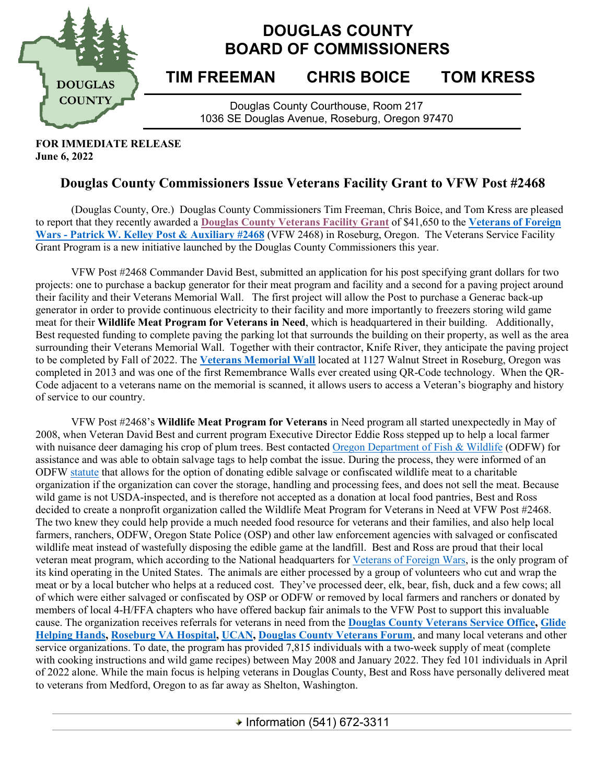

## **DOUGLAS COUNTY BOARD OF COMMISSIONERS**

## **TIM FREEMAN CHRIS BOICE TOM KRESS**

Douglas County Courthouse, Room 217 1036 SE Douglas Avenue, Roseburg, Oregon 97470

**FOR IMMEDIATE RELEASE June 6, 2022**

## **Douglas County Commissioners Issue Veterans Facility Grant to VFW Post #2468**

(Douglas County, Ore.) Douglas County Commissioners Tim Freeman, Chris Boice, and Tom Kress are pleased to report that they recently awarded a **[Douglas County Veterans Facility Grant](https://douglascounty-oregon.us/CivicAlerts.aspx?AID=88)** of \$41,650 to the **[Veterans of Foreign](https://www.vfwpost2468.com/)  Wars - [Patrick W. Kelley Post & Auxiliary #2468](https://www.vfwpost2468.com/)** (VFW 2468) in Roseburg, Oregon. The Veterans Service Facility Grant Program is a new initiative launched by the Douglas County Commissioners this year.

VFW Post #2468 Commander David Best, submitted an application for his post specifying grant dollars for two projects: one to purchase a backup generator for their meat program and facility and a second for a paving project around their facility and their Veterans Memorial Wall. The first project will allow the Post to purchase a Generac back-up generator in order to provide continuous electricity to their facility and more importantly to freezers storing wild game meat for their **Wildlife Meat Program for Veterans in Need**, which is headquartered in their building. Additionally, Best requested funding to complete paving the parking lot that surrounds the building on their property, as well as the area surrounding their Veterans Memorial Wall. Together with their contractor, Knife River, they anticipate the paving project to be completed by Fall of 2022. The **[Veterans Memorial Wall](https://www.facebook.com/OregonVeteransMemorialWall/)** located at 1127 Walnut Street in Roseburg, Oregon was completed in 2013 and was one of the first Remembrance Walls ever created using QR-Code technology. When the QR-Code adjacent to a veterans name on the memorial is scanned, it allows users to access a Veteran's biography and history of service to our country.

VFW Post #2468's **Wildlife Meat Program for Veterans** in Need program all started unexpectedly in May of 2008, when Veteran David Best and current program Executive Director Eddie Ross stepped up to help a local farmer with nuisance deer damaging his crop of plum trees. Best contacted [Oregon Department of Fish & Wildlife](https://www.dfw.state.or.us/wildlife/) (ODFW) for assistance and was able to obtain salvage tags to help combat the issue. During the process, they were informed of an ODFW [statute](https://www.dfw.state.or.us/agency/commission/minutes/19/10_Oct/EXHIBIT%20D/Exhibit%20D_Attachment%203_Draft%20Oregon%20Administrative%20Rules.pdf) that allows for the option of donating edible salvage or confiscated wildlife meat to a charitable organization if the organization can cover the storage, handling and processing fees, and does not sell the meat. Because wild game is not USDA-inspected, and is therefore not accepted as a donation at local food pantries, Best and Ross decided to create a nonprofit organization called the Wildlife Meat Program for Veterans in Need at VFW Post #2468. The two knew they could help provide a much needed food resource for veterans and their families, and also help local farmers, ranchers, ODFW, Oregon State Police (OSP) and other law enforcement agencies with salvaged or confiscated wildlife meat instead of wastefully disposing the edible game at the landfill. Best and Ross are proud that their local veteran meat program, which according to the National headquarters for [Veterans of Foreign Wars,](https://www.vfw.org/) is the only program of its kind operating in the United States. The animals are either processed by a group of volunteers who cut and wrap the meat or by a local butcher who helps at a reduced cost. They've processed deer, elk, bear, fish, duck and a few cows; all of which were either salvaged or confiscated by OSP or ODFW or removed by local farmers and ranchers or donated by members of local 4-H/FFA chapters who have offered backup fair animals to the VFW Post to support this invaluable cause. The organization receives referrals for veterans in need from the **[Douglas County Veterans Service Office,](https://douglascounty-oregon.us/408/Veterans-Services) [Glide](https://glideor.adventistchurch.org/glide-helping-hands)  [Helping Hands,](https://glideor.adventistchurch.org/glide-helping-hands) [Roseburg VA Hospital,](https://www.va.gov/roseburg-health-care/) [UCAN,](https://www.ucancap.org/) [Douglas County](https://www.dcvf.us/) Veterans Forum**, and many local veterans and other service organizations. To date, the program has provided 7,815 individuals with a two-week supply of meat (complete with cooking instructions and wild game recipes) between May 2008 and January 2022. They fed 101 individuals in April of 2022 alone. While the main focus is helping veterans in Douglas County, Best and Ross have personally delivered meat to veterans from Medford, Oregon to as far away as Shelton, Washington.